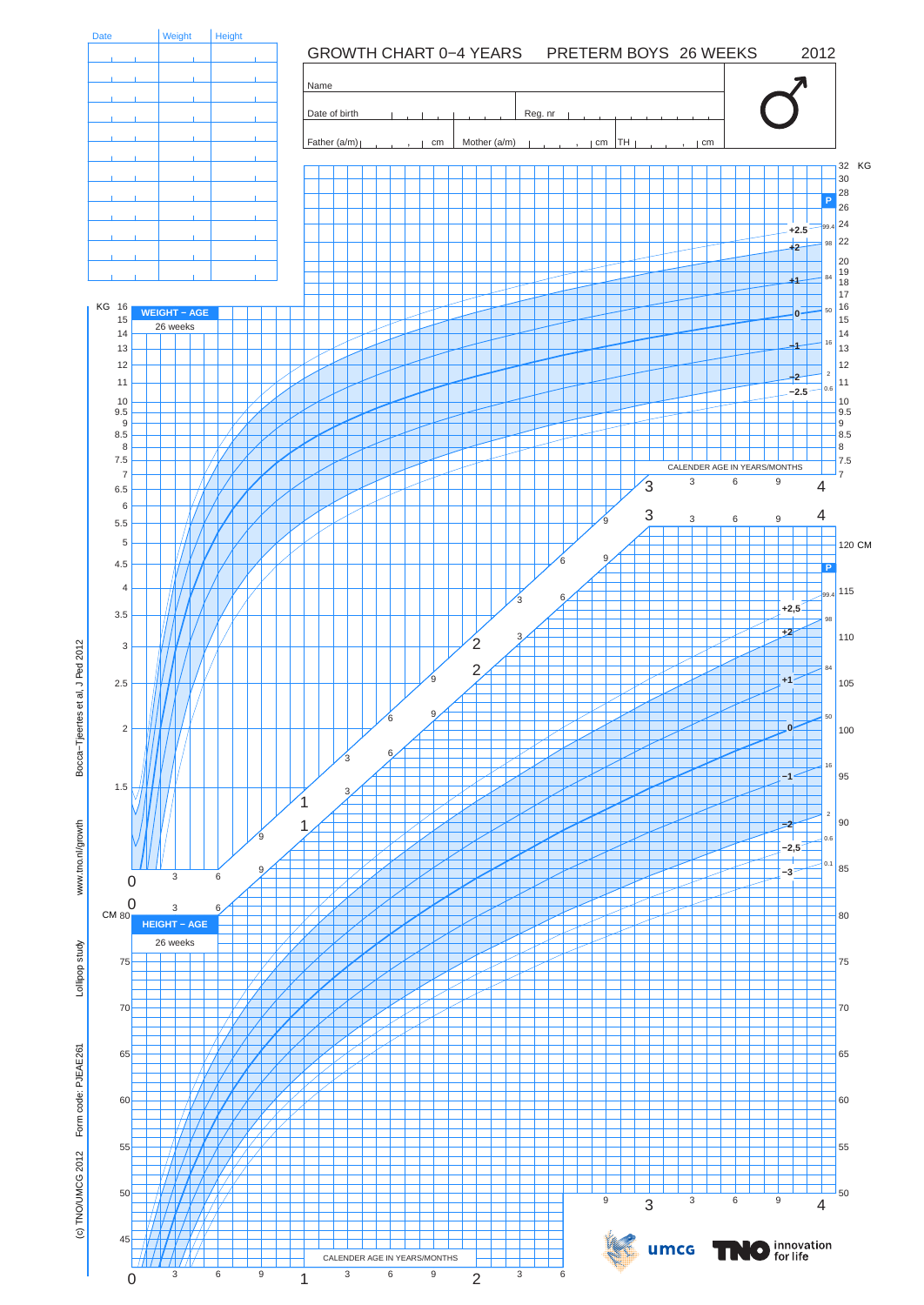